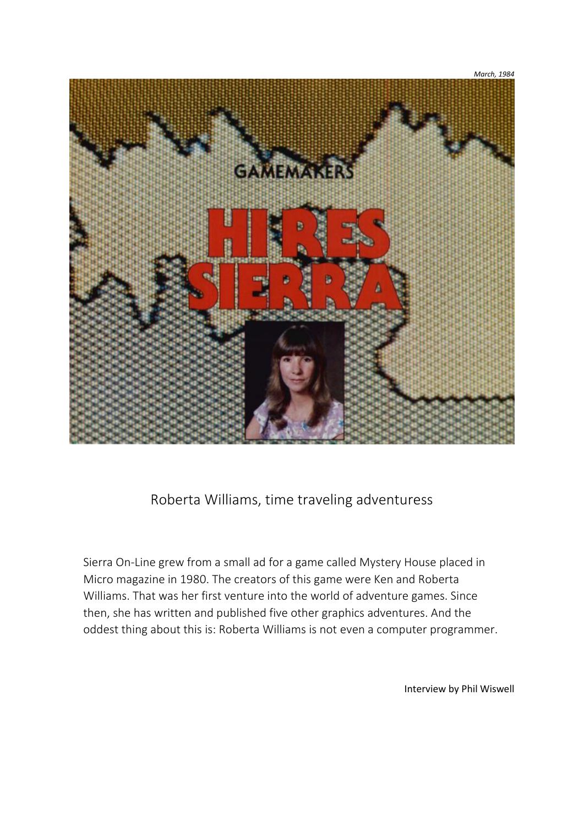

# Roberta Williams, time traveling adventuress

Sierra On-Line grew from a small ad for a game called Mystery House placed in Micro magazine in 1980. The creators of this game were Ken and Roberta Williams. That was her first venture into the world of adventure games. Since then, she has written and published five other graphics adventures. And the oddest thing about this is: Roberta Williams is not even a computer programmer.

Interview by Phil Wiswell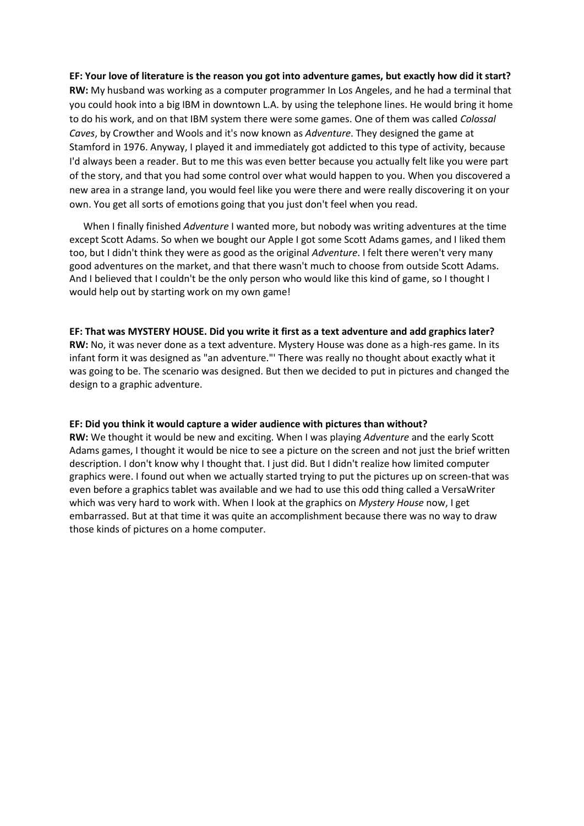## **EF: Your love of literature is the reason you got into adventure games, but exactly how did it start?**

**RW:** My husband was working as a computer programmer In Los Angeles, and he had a terminal that you could hook into a big IBM in downtown L.A. by using the telephone lines. He would bring it home to do his work, and on that IBM system there were some games. One of them was called *Colossal Caves*, by Crowther and Wools and it's now known as *Adventure*. They designed the game at Stamford in 1976. Anyway, I played it and immediately got addicted to this type of activity, because I'd always been a reader. But to me this was even better because you actually felt like you were part of the story, and that you had some control over what would happen to you. When you discovered a new area in a strange land, you would feel like you were there and were really discovering it on your own. You get all sorts of emotions going that you just don't feel when you read.

When I finally finished *Adventure* I wanted more, but nobody was writing adventures at the time except Scott Adams. So when we bought our Apple I got some Scott Adams games, and I liked them too, but I didn't think they were as good as the original *Adventure*. I felt there weren't very many good adventures on the market, and that there wasn't much to choose from outside Scott Adams. And I believed that I couldn't be the only person who would like this kind of game, so I thought I would help out by starting work on my own game!

## **EF: That was MYSTERY HOUSE. Did you write it first as a text adventure and add graphics later?**

**RW:** No, it was never done as a text adventure. Mystery House was done as a high-res game. In its infant form it was designed as "an adventure."' There was really no thought about exactly what it was going to be. The scenario was designed. But then we decided to put in pictures and changed the design to a graphic adventure.

#### **EF: Did you think it would capture a wider audience with pictures than without?**

**RW:** We thought it would be new and exciting. When I was playing *Adventure* and the early Scott Adams games, I thought it would be nice to see a picture on the screen and not just the brief written description. I don't know why I thought that. I just did. But I didn't realize how limited computer graphics were. I found out when we actually started trying to put the pictures up on screen-that was even before a graphics tablet was available and we had to use this odd thing called a VersaWriter which was very hard to work with. When I look at the graphics on *Mystery House* now, I get embarrassed. But at that time it was quite an accomplishment because there was no way to draw those kinds of pictures on a home computer.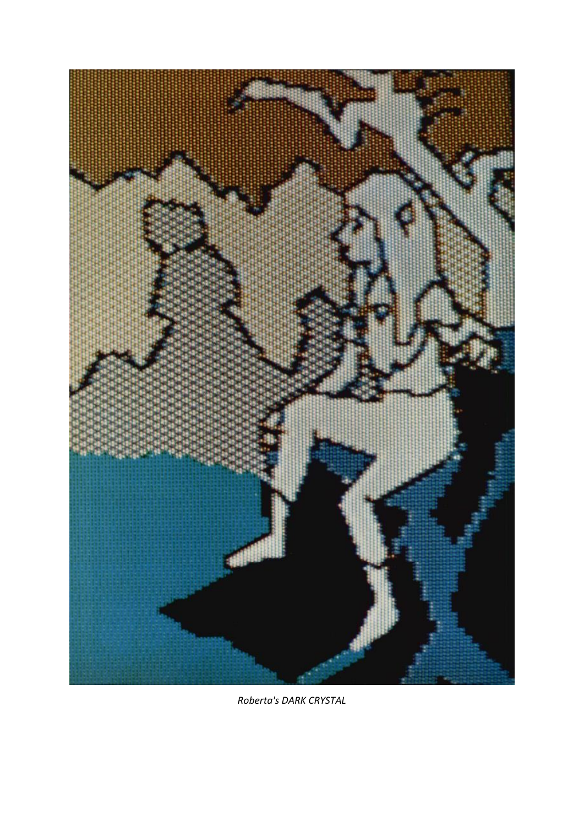

*Roberta's DARK CRYSTAL*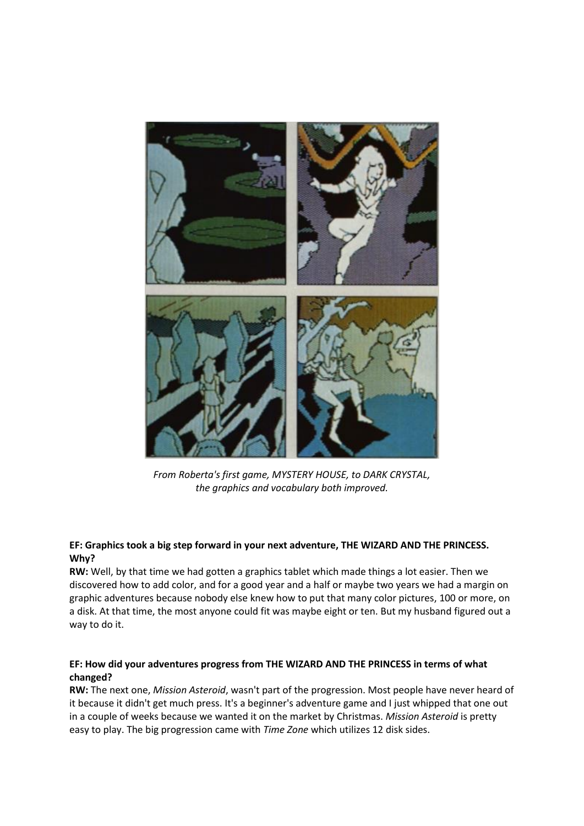

*From Roberta's first game, MYSTERY HOUSE, to DARK CRYSTAL, the graphics and vocabulary both improved.*

## **EF: Graphics took a big step forward in your next adventure, THE WIZARD AND THE PRINCESS. Why?**

**RW:** Well, by that time we had gotten a graphics tablet which made things a lot easier. Then we discovered how to add color, and for a good year and a half or maybe two years we had a margin on graphic adventures because nobody else knew how to put that many color pictures, 100 or more, on a disk. At that time, the most anyone could fit was maybe eight or ten. But my husband figured out a way to do it.

# **EF: How did your adventures progress from THE WIZARD AND THE PRINCESS in terms of what changed?**

**RW:** The next one, *Mission Asteroid*, wasn't part of the progression. Most people have never heard of it because it didn't get much press. It's a beginner's adventure game and I just whipped that one out in a couple of weeks because we wanted it on the market by Christmas. *Mission Asteroid* is pretty easy to play. The big progression came with *Time Zone* which utilizes 12 disk sides.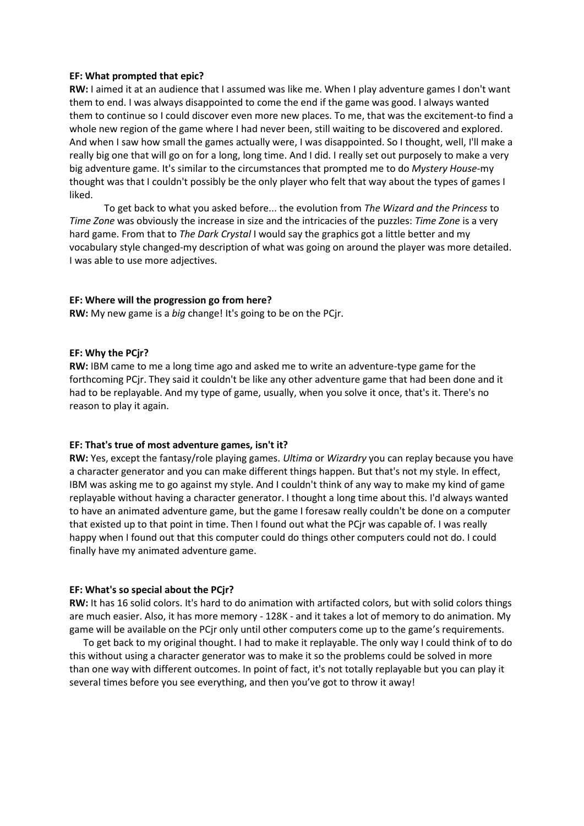#### **EF: What prompted that epic?**

**RW:** I aimed it at an audience that I assumed was like me. When I play adventure games I don't want them to end. I was always disappointed to come the end if the game was good. I always wanted them to continue so I could discover even more new places. To me, that was the excitement-to find a whole new region of the game where I had never been, still waiting to be discovered and explored. And when I saw how small the games actually were, I was disappointed. So I thought, well, I'll make a really big one that will go on for a long, long time. And I did. I really set out purposely to make a very big adventure game. It's similar to the circumstances that prompted me to do *Mystery House*-my thought was that I couldn't possibly be the only player who felt that way about the types of games I liked.

To get back to what you asked before... the evolution from *The Wizard and the Princess* to *Time Zone* was obviously the increase in size and the intricacies of the puzzles: *Time Zone* is a very hard game. From that to *The Dark Crystal* I would say the graphics got a little better and my vocabulary style changed-my description of what was going on around the player was more detailed. I was able to use more adjectives.

#### **EF: Where will the progression go from here?**

**RW:** My new game is a *big* change! It's going to be on the PCjr.

#### **EF: Why the PCjr?**

**RW:** IBM came to me a long time ago and asked me to write an adventure-type game for the forthcoming PCjr. They said it couldn't be like any other adventure game that had been done and it had to be replayable. And my type of game, usually, when you solve it once, that's it. There's no reason to play it again.

#### **EF: That's true of most adventure games, isn't it?**

**RW:** Yes, except the fantasy/role playing games. *Ultima* or *Wizardry* you can replay because you have a character generator and you can make different things happen. But that's not my style. In effect, IBM was asking me to go against my style. And I couldn't think of any way to make my kind of game replayable without having a character generator. I thought a long time about this. I'd always wanted to have an animated adventure game, but the game I foresaw really couldn't be done on a computer that existed up to that point in time. Then I found out what the PCjr was capable of. I was really happy when I found out that this computer could do things other computers could not do. I could finally have my animated adventure game.

#### **EF: What's so special about the PCjr?**

**RW:** It has 16 solid colors. It's hard to do animation with artifacted colors, but with solid colors things are much easier. Also, it has more memory - 128K - and it takes a lot of memory to do animation. My game will be available on the PCjr only until other computers come up to the game's requirements.

To get back to my original thought. I had to make it replayable. The only way I could think of to do this without using a character generator was to make it so the problems could be solved in more than one way with different outcomes. In point of fact, it's not totally replayable but you can play it several times before you see everything, and then you've got to throw it away!